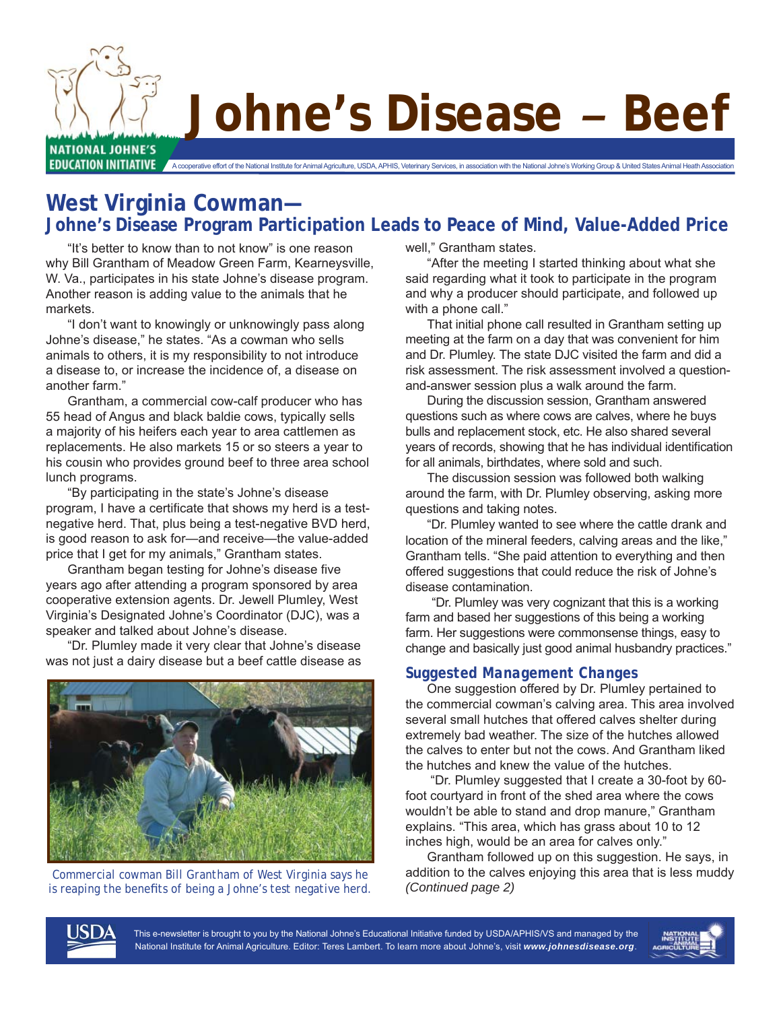

# **Johne's Disease** *–* **Beef**

**West Virginia Cowman— Johne's Disease Program Participation Leads to Peace of Mind, Value-Added Price**

 "It's better to know than to not know" is one reason why Bill Grantham of Meadow Green Farm, Kearneysville, W. Va., participates in his state Johne's disease program. Another reason is adding value to the animals that he markets.

 "I don't want to knowingly or unknowingly pass along Johne's disease," he states. "As a cowman who sells animals to others, it is my responsibility to not introduce a disease to, or increase the incidence of, a disease on another farm."

 Grantham, a commercial cow-calf producer who has 55 head of Angus and black baldie cows, typically sells a majority of his heifers each year to area cattlemen as replacements. He also markets 15 or so steers a year to his cousin who provides ground beef to three area school lunch programs.

 "By participating in the state's Johne's disease program, I have a certificate that shows my herd is a testnegative herd. That, plus being a test-negative BVD herd, is good reason to ask for—and receive—the value-added price that I get for my animals," Grantham states.

Grantham began testing for Johne's disease five years ago after attending a program sponsored by area cooperative extension agents. Dr. Jewell Plumley, West Virginia's Designated Johne's Coordinator (DJC), was a speaker and talked about Johne's disease.

 "Dr. Plumley made it very clear that Johne's disease was not just a dairy disease but a beef cattle disease as



*Commercial cowman Bill Grantham of West Virginia says he is reaping the benefits of being a Johne's test negative herd.* 

well," Grantham states.

 "After the meeting I started thinking about what she said regarding what it took to participate in the program and why a producer should participate, and followed up with a phone call."

 That initial phone call resulted in Grantham setting up meeting at the farm on a day that was convenient for him and Dr. Plumley. The state DJC visited the farm and did a risk assessment. The risk assessment involved a questionand-answer session plus a walk around the farm.

 During the discussion session, Grantham answered questions such as where cows are calves, where he buys bulls and replacement stock, etc. He also shared several years of records, showing that he has individual identification for all animals, birthdates, where sold and such.

 The discussion session was followed both walking around the farm, with Dr. Plumley observing, asking more questions and taking notes.

 "Dr. Plumley wanted to see where the cattle drank and location of the mineral feeders, calving areas and the like," Grantham tells. "She paid attention to everything and then offered suggestions that could reduce the risk of Johne's disease contamination.

 "Dr. Plumley was very cognizant that this is a working farm and based her suggestions of this being a working farm. Her suggestions were commonsense things, easy to change and basically just good animal husbandry practices."

#### *Suggested Management Changes*

 One suggestion offered by Dr. Plumley pertained to the commercial cowman's calving area. This area involved several small hutches that offered calves shelter during extremely bad weather. The size of the hutches allowed the calves to enter but not the cows. And Grantham liked the hutches and knew the value of the hutches.

 "Dr. Plumley suggested that I create a 30-foot by 60 foot courtyard in front of the shed area where the cows wouldn't be able to stand and drop manure," Grantham explains. "This area, which has grass about 10 to 12 inches high, would be an area for calves only."

 Grantham followed up on this suggestion. He says, in addition to the calves enjoying this area that is less muddy *(Continued page 2)*



This e-newsletter is brought to you by the National Johne's Educational Initiative funded by USDA/APHIS/VS and managed by the National Institute for Animal Agriculture. Editor: Teres Lambert. To learn more about Johne's, visit *www.johnesdisease.org*.

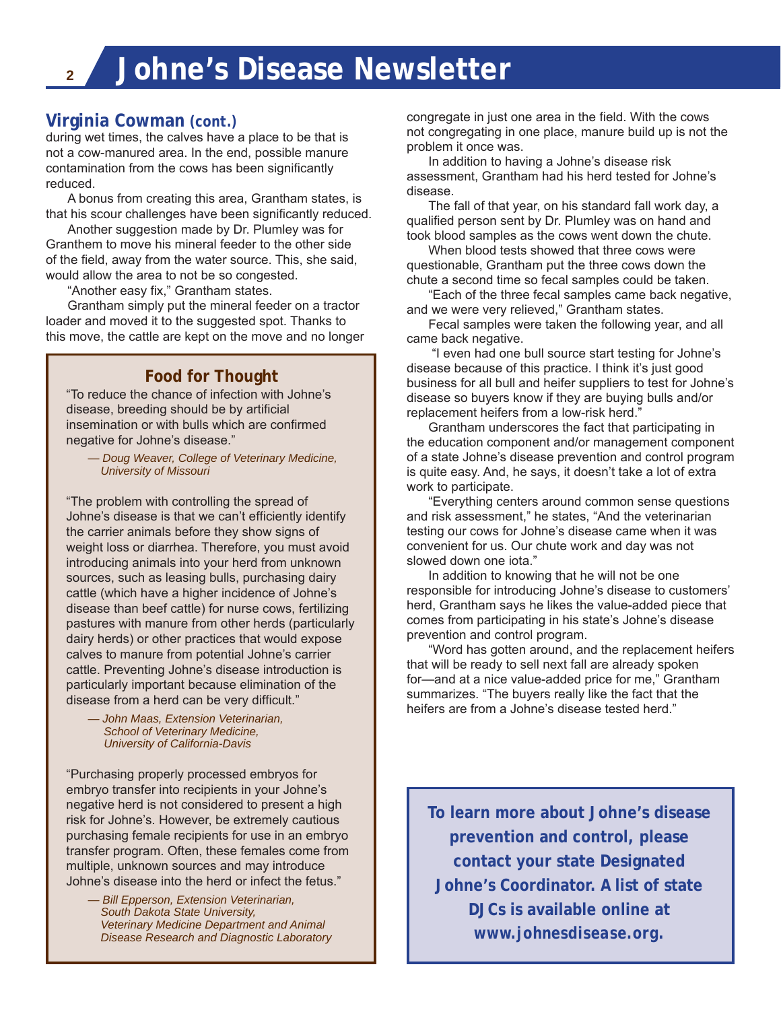## **Virginia Cowman** *(cont.)*

during wet times, the calves have a place to be that is not a cow-manured area. In the end, possible manure contamination from the cows has been significantly reduced.

 A bonus from creating this area, Grantham states, is that his scour challenges have been significantly reduced.

 Another suggestion made by Dr. Plumley was for Granthem to move his mineral feeder to the other side of the field, away from the water source. This, she said, would allow the area to not be so congested.

"Another easy fix," Grantham states.

 Grantham simply put the mineral feeder on a tractor loader and moved it to the suggested spot. Thanks to this move, the cattle are kept on the move and no longer

### **Food for Thought**

"To reduce the chance of infection with Johne's disease, breeding should be by artificial insemination or with bulls which are confirmed negative for Johne's disease."

— *Doug Weaver, College of Veterinary Medicine, University of Missouri*

"The problem with controlling the spread of Johne's disease is that we can't efficiently identify the carrier animals before they show signs of weight loss or diarrhea. Therefore, you must avoid introducing animals into your herd from unknown sources, such as leasing bulls, purchasing dairy cattle (which have a higher incidence of Johne's disease than beef cattle) for nurse cows, fertilizing pastures with manure from other herds (particularly dairy herds) or other practices that would expose calves to manure from potential Johne's carrier cattle. Preventing Johne's disease introduction is particularly important because elimination of the disease from a herd can be very difficult."

 *— John Maas, Extension Veterinarian, School of Veterinary Medicine, University of California-Davis*

"Purchasing properly processed embryos for embryo transfer into recipients in your Johne's negative herd is not considered to present a high risk for Johne's. However, be extremely cautious purchasing female recipients for use in an embryo transfer program. Often, these females come from multiple, unknown sources and may introduce Johne's disease into the herd or infect the fetus."

*— Bill Epperson, Extension Veterinarian, South Dakota State University, Veterinary Medicine Department and Animal Disease Research and Diagnostic Laboratory* congregate in just one area in the field. With the cows not congregating in one place, manure build up is not the problem it once was.

 In addition to having a Johne's disease risk assessment, Grantham had his herd tested for Johne's disease.

 The fall of that year, on his standard fall work day, a qualified person sent by Dr. Plumley was on hand and took blood samples as the cows went down the chute.

 When blood tests showed that three cows were questionable, Grantham put the three cows down the chute a second time so fecal samples could be taken.

 "Each of the three fecal samples came back negative, and we were very relieved," Grantham states.

 Fecal samples were taken the following year, and all came back negative.

 "I even had one bull source start testing for Johne's disease because of this practice. I think it's just good business for all bull and heifer suppliers to test for Johne's disease so buyers know if they are buying bulls and/or replacement heifers from a low-risk herd."

 Grantham underscores the fact that participating in the education component and/or management component of a state Johne's disease prevention and control program is quite easy. And, he says, it doesn't take a lot of extra work to participate.

 "Everything centers around common sense questions and risk assessment," he states, "And the veterinarian testing our cows for Johne's disease came when it was convenient for us. Our chute work and day was not slowed down one iota."

 In addition to knowing that he will not be one responsible for introducing Johne's disease to customers' herd, Grantham says he likes the value-added piece that comes from participating in his state's Johne's disease prevention and control program.

 "Word has gotten around, and the replacement heifers that will be ready to sell next fall are already spoken for—and at a nice value-added price for me," Grantham summarizes. "The buyers really like the fact that the heifers are from a Johne's disease tested herd."

**To learn more about Johne's disease prevention and control, please contact your state Designated Johne's Coordinator. A list of state DJCs is available online at**  *www.johnesdisease.org***.**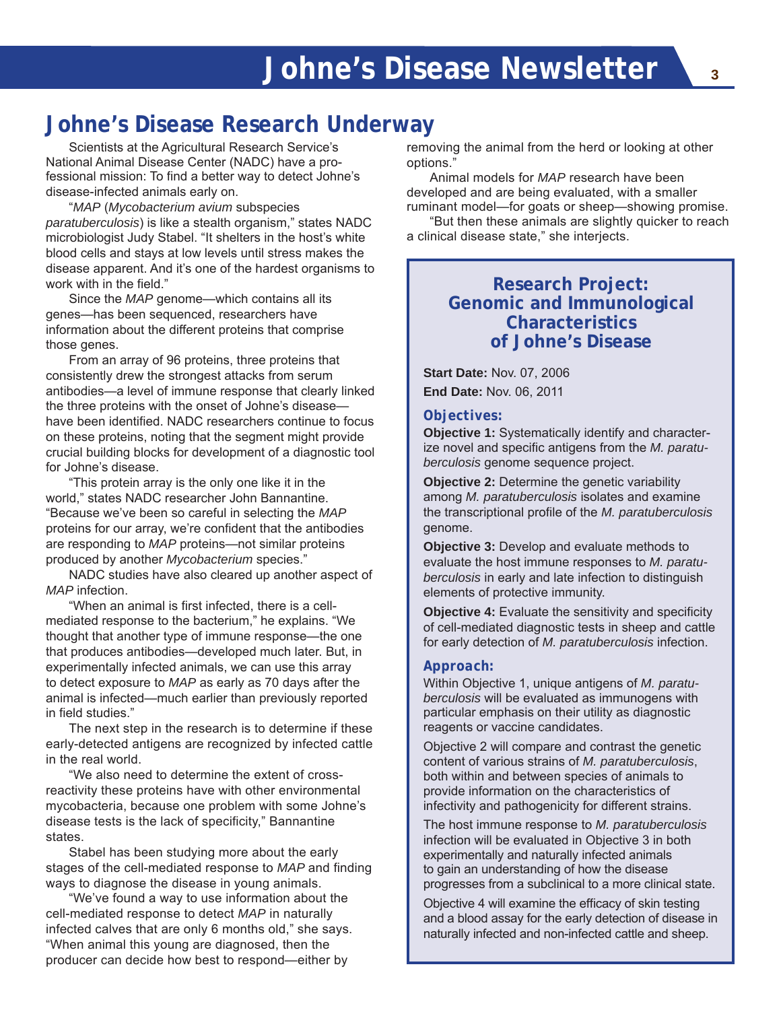# **Johne's Disease Research Underway**

Scientists at the Agricultural Research Service's National Animal Disease Center (NADC) have a professional mission: To find a better way to detect Johne's disease-infected animals early on.

"*MAP* (*Mycobacterium avium* subspecies *paratuberculosis*) is like a stealth organism," states NADC microbiologist Judy Stabel. "It shelters in the host's white blood cells and stays at low levels until stress makes the disease apparent. And it's one of the hardest organisms to work with in the field."

Since the *MAP* genome—which contains all its genes—has been sequenced, researchers have information about the different proteins that comprise those genes.

From an array of 96 proteins, three proteins that consistently drew the strongest attacks from serum antibodies—a level of immune response that clearly linked the three proteins with the onset of Johne's disease have been identified. NADC researchers continue to focus on these proteins, noting that the segment might provide crucial building blocks for development of a diagnostic tool for Johne's disease.

"This protein array is the only one like it in the world," states NADC researcher John Bannantine. "Because we've been so careful in selecting the *MAP* proteins for our array, we're confident that the antibodies are responding to *MAP* proteins—not similar proteins produced by another *Mycobacterium* species."

NADC studies have also cleared up another aspect of *MAP* infection.

"When an animal is first infected, there is a cellmediated response to the bacterium," he explains. "We thought that another type of immune response—the one that produces antibodies—developed much later. But, in experimentally infected animals, we can use this array to detect exposure to *MAP* as early as 70 days after the animal is infected—much earlier than previously reported in field studies."

The next step in the research is to determine if these early-detected antigens are recognized by infected cattle in the real world.

"We also need to determine the extent of crossreactivity these proteins have with other environmental mycobacteria, because one problem with some Johne's disease tests is the lack of specificity," Bannantine states.

Stabel has been studying more about the early stages of the cell-mediated response to *MAP* and finding ways to diagnose the disease in young animals.

"We've found a way to use information about the cell-mediated response to detect *MAP* in naturally infected calves that are only 6 months old," she says. "When animal this young are diagnosed, then the producer can decide how best to respond—either by

removing the animal from the herd or looking at other options."

Animal models for *MAP* research have been developed and are being evaluated, with a smaller ruminant model—for goats or sheep—showing promise.

"But then these animals are slightly quicker to reach a clinical disease state," she interjects.

## **Research Project: Genomic and Immunological Characteristics of Johne's Disease**

**Start Date:** Nov. 07, 2006 **End Date:** Nov. 06, 2011

#### *Objectives:*

**Objective 1:** Systematically identify and characterize novel and specific antigens from the M. paratu*berculosis* genome sequence project.

**Objective 2:** Determine the genetic variability among *M. paratuberculosis* isolates and examine the transcriptional profile of the *M. paratuberculosis* genome.

**Objective 3:** Develop and evaluate methods to evaluate the host immune responses to *M. paratuberculosis* in early and late infection to distinguish elements of protective immunity.

**Objective 4:** Evaluate the sensitivity and specificity of cell-mediated diagnostic tests in sheep and cattle for early detection of *M. paratuberculosis* infection.

#### *Approach:*

Within Objective 1, unique antigens of *M. paratuberculosis* will be evaluated as immunogens with particular emphasis on their utility as diagnostic reagents or vaccine candidates.

Objective 2 will compare and contrast the genetic content of various strains of *M. paratuberculosis*, both within and between species of animals to provide information on the characteristics of infectivity and pathogenicity for different strains.

The host immune response to *M. paratuberculosis*  infection will be evaluated in Objective 3 in both experimentally and naturally infected animals to gain an understanding of how the disease progresses from a subclinical to a more clinical state.

Objective 4 will examine the efficacy of skin testing and a blood assay for the early detection of disease in naturally infected and non-infected cattle and sheep.